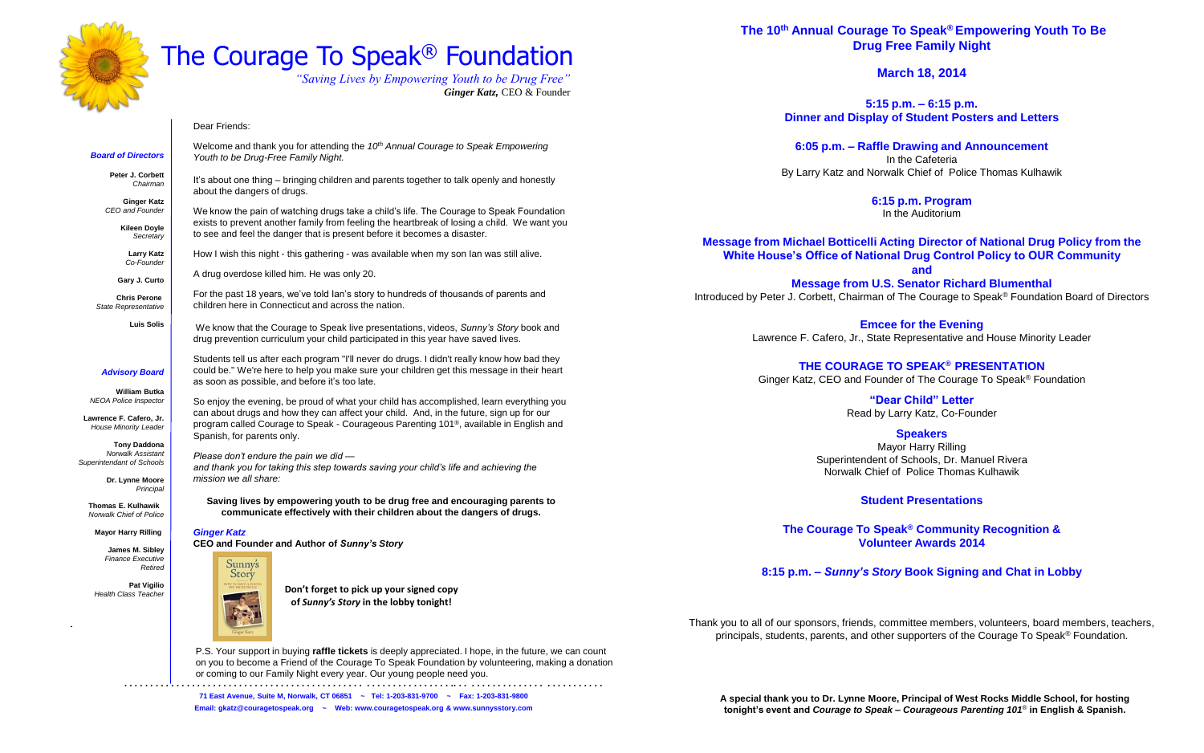**The 10th Annual Courage To Speak® Empowering Youth To Be Drug Free Family Night**

**March 18, 2014**

**5:15 p.m. – 6:15 p.m. Dinner and Display of Student Posters and Letters**

**6:05 p.m. – Raffle Drawing and Announcement**  In the Cafeteria By Larry Katz and Norwalk Chief of Police Thomas Kulhawik

> **6:15 p.m. Program** In the Auditorium

**Message from Michael Botticelli Acting Director of National Drug Policy from the White House's Office of National Drug Control Policy to OUR Community and Message from U.S. Senator Richard Blumenthal**

Introduced by Peter J. Corbett, Chairman of The Courage to Speak® Foundation Board of Directors

**Emcee for the Evening** Lawrence F. Cafero, Jr., State Representative and House Minority Leader

### **THE COURAGE TO SPEAK® PRESENTATION**

Ginger Katz, CEO and Founder of The Courage To Speak® Foundation

**"Dear Child" Letter** Read by Larry Katz, Co-Founder

**Speakers** Mayor Harry Rilling Superintendent of Schools, Dr. Manuel Rivera Norwalk Chief of Police Thomas Kulhawik

### **Student Presentations**

**The Courage To Speak® Community Recognition & Volunteer Awards 2014**

**8:15 p.m. –** *Sunny's Story* **Book Signing and Chat in Lobby**

Thank you to all of our sponsors, friends, committee members, volunteers, board members, teachers, principals, students, parents, and other supporters of the Courage To Speak ® Foundation.

*. . . . . . . . . . . . . . . . . . . . . . . . . . . . . . . . . . . . . . . . . . . . . . . . . . . . . . . . . . . . . . .. . . . . . . . . . . . . . . . . . . . . . . . . . . .* **71 East Avenue, Suite M, Norwalk, CT 06851 ~ Tel: 1-203-831-9700 ~ Fax: 1-203-831-9800 Email: gkatz@couragetospeak.org ~ Web: www.couragetospeak.org & www.sunnysstory.com**



## The Courage To Speak® Foundation

*"Saving Lives by Empowering Youth to be Drug Free" Ginger Katz,* CEO & Founder

### Dear Friends:

Welcome and thank you for attending the *10th Annual Courage to Speak Empowering Youth to be Drug-Free Family Night.*

It's about one thing – bringing children and parents together to talk openly and honestly about the dangers of drugs.

We know the pain of watching drugs take a child's life. The Courage to Speak Foundation exists to prevent another family from feeling the heartbreak of losing a child. We want you to see and feel the danger that is present before it becomes a disaster.

How I wish this night - this gathering - was available when my son Ian was still alive.

A drug overdose killed him. He was only 20.

For the past 18 years, we've told Ian's story to hundreds of thousands of parents and children here in Connecticut and across the nation.

We know that the Courage to Speak live presentations, videos, *Sunny's Story* book and drug prevention curriculum your child participated in this year have saved lives.

Students tell us after each program "I'll never do drugs. I didn't really know how bad they could be." We're here to help you make sure your children get this message in their heart as soon as possible, and before it's too late.

So enjoy the evening, be proud of what your child has accomplished, learn everything you can about drugs and how they can affect your child. And, in the future, sign up for our program called Courage to Speak - Courageous Parenting 101®, available in English and Spanish, for parents only.

*Please don't endure the pain we did and thank you for taking this step towards saving your child's life and achieving the mission we all share:*

**Saving lives by empowering youth to be drug free and encouraging parents to communicate effectively with their children about the dangers of drugs.** 

### *Ginger Katz*

**CEO and Founder and Author of** *Sunny's Story* 

Sunny's

### *Board of Directors*

**Peter J. Corbett** *Chairman*

**Ginger Katz** *CEO and Founder*

> **Kileen Doyle** *Secretary*

**Larry Katz** *Co-Founder*

**Gary J. Curto**

 **Chris Perone** *State Representative*

**Luis Solis**

### *Advisory Board*

**William Butka** *NEOA Police Inspector*

**Lawrence F. Cafero, Jr.** *House Minority Leader*

**Tony Daddona** *Norwalk Assistant Superintendant of Schools*

> **Dr. Lynne Moore** *Principal*

 **Thomas E. Kulhawik** *Norwalk Chief of Police*

**Mayor Harry Rilling**

**James M. Sibley** *Finance Executive Retired*

**Pat Vigilio** *Health Class Teacher*



P.S. Your support in buying **raffle tickets** is deeply appreciated. I hope, in the future, we can count on you to become a Friend of the Courage To Speak Foundation by volunteering, making a donation or coming to our Family Night every year. Our young people need you.

**Don't forget to pick up your signed copy of** *Sunny's Story* **in the lobby tonight!**

> **A special thank you to Dr. Lynne Moore, Principal of West Rocks Middle School, for hosting tonight's event and** *Courage to Speak – Courageous Parenting 101*® **in English & Spanish.**